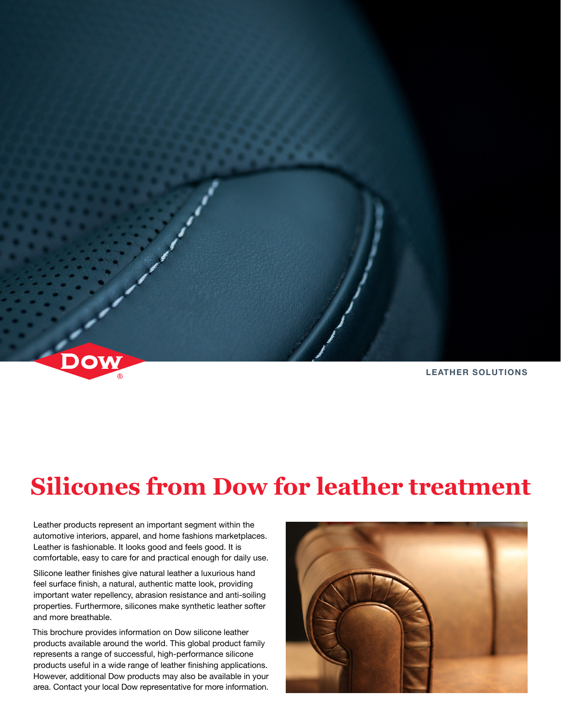

# **Silicones from Dow for leather treatment**

Leather products represent an important segment within the automotive interiors, apparel, and home fashions marketplaces. Leather is fashionable. It looks good and feels good. It is comfortable, easy to care for and practical enough for daily use.

Silicone leather finishes give natural leather a luxurious hand feel surface finish, a natural, authentic matte look, providing important water repellency, abrasion resistance and anti-soiling properties. Furthermore, silicones make synthetic leather softer and more breathable.

This brochure provides information on Dow silicone leather products available around the world. This global product family represents a range of successful, high-performance silicone products useful in a wide range of leather finishing applications. However, additional Dow products may also be available in your area. Contact your local Dow representative for more information.

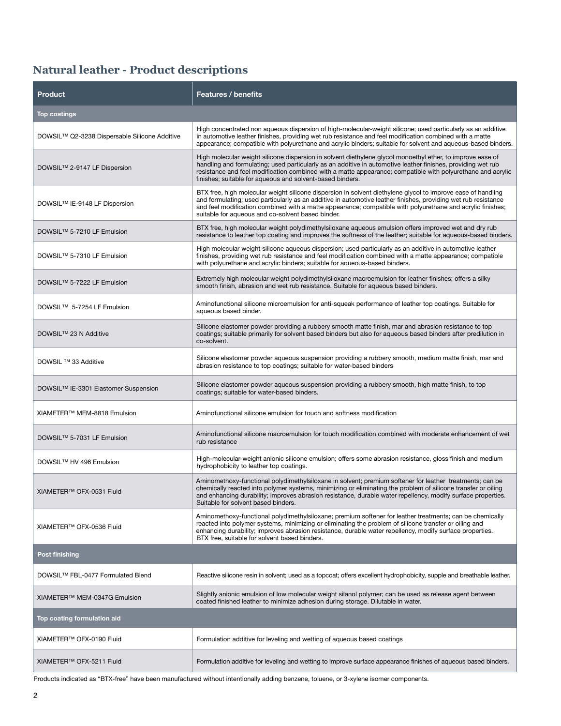## **Natural leather - Product descriptions**

| <b>Product</b>                                   | <b>Features / benefits</b>                                                                                                                                                                                                                                                                                                                                                                             |
|--------------------------------------------------|--------------------------------------------------------------------------------------------------------------------------------------------------------------------------------------------------------------------------------------------------------------------------------------------------------------------------------------------------------------------------------------------------------|
| <b>Top coatings</b>                              |                                                                                                                                                                                                                                                                                                                                                                                                        |
| DOWSIL™ Q2-3238 Dispersable Silicone Additive    | High concentrated non aqueous dispersion of high-molecular-weight silicone; used particularly as an additive<br>in automotive leather finishes, providing wet rub resistance and feel modification combined with a matte<br>appearance; compatible with polyurethane and acrylic binders; suitable for solvent and aqueous-based binders.                                                              |
| DOWSIL™ 2-9147 LF Dispersion                     | High molecular weight silicone dispersion in solvent diethylene glycol monoethyl ether, to improve ease of<br>handling and formulating; used particularly as an additive in automotive leather finishes, providing wet rub<br>resistance and feel modification combined with a matte appearance; compatible with polyurethane and acrylic<br>finishes; suitable for aqueous and solvent-based binders. |
| DOWSIL™ IE-9148 LF Dispersion                    | BTX free, high molecular weight silicone dispersion in solvent diethylene glycol to improve ease of handling<br>and formulating; used particularly as an additive in automotive leather finishes, providing wet rub resistance<br>and feel modification combined with a matte appearance; compatible with polyurethane and acrylic finishes;<br>suitable for aqueous and co-solvent based binder.      |
| DOWSIL™ 5-7210 LF Emulsion                       | BTX free, high molecular weight polydimethylsiloxane aqueous emulsion offers improved wet and dry rub<br>resistance to leather top coating and improves the softness of the leather; suitable for aqueous-based binders.                                                                                                                                                                               |
| DOWSIL™ 5-7310 LF Emulsion                       | High molecular weight silicone aqueous dispersion; used particularly as an additive in automotive leather<br>finishes, providing wet rub resistance and feel modification combined with a matte appearance; compatible<br>with polyurethane and acrylic binders; suitable for aqueous-based binders.                                                                                                   |
| DOWSIL™ 5-7222 LF Emulsion                       | Extremely high molecular weight polydimethylsiloxane macroemulsion for leather finishes; offers a silky<br>smooth finish, abrasion and wet rub resistance. Suitable for aqueous based binders.                                                                                                                                                                                                         |
| DOWSIL™ 5-7254 LF Emulsion                       | Aminofunctional silicone microemulsion for anti-squeak performance of leather top coatings. Suitable for<br>aqueous based binder.                                                                                                                                                                                                                                                                      |
| DOWSIL™ 23 N Additive                            | Silicone elastomer powder providing a rubbery smooth matte finish, mar and abrasion resistance to top<br>coatings; suitable primarily for solvent based binders but also for aqueous based binders after predilution in<br>co-solvent.                                                                                                                                                                 |
| DOWSIL ™ 33 Additive                             | Silicone elastomer powder aqueous suspension providing a rubbery smooth, medium matte finish, mar and<br>abrasion resistance to top coatings; suitable for water-based binders                                                                                                                                                                                                                         |
| DOWSIL <sup>™</sup> IE-3301 Elastomer Suspension | Silicone elastomer powder aqueous suspension providing a rubbery smooth, high matte finish, to top<br>coatings; suitable for water-based binders.                                                                                                                                                                                                                                                      |
| XIAMETER™ MEM-8818 Emulsion                      | Aminofunctional silicone emulsion for touch and softness modification                                                                                                                                                                                                                                                                                                                                  |
| DOWSIL™ 5-7031 LF Emulsion                       | Aminofunctional silicone macroemulsion for touch modification combined with moderate enhancement of wet<br>rub resistance                                                                                                                                                                                                                                                                              |
| DOWSIL™ HV 496 Emulsion                          | High-molecular-weight anionic silicone emulsion; offers some abrasion resistance, gloss finish and medium<br>hydrophobicity to leather top coatings.                                                                                                                                                                                                                                                   |
| XIAMETER™ OFX-0531 Fluid                         | Aminomethoxy-functional polydimethylsiloxane in solvent; premium softener for leather treatments; can be<br>chemically reacted into polymer systems, minimizing or eliminating the problem of silicone transfer or oiling<br>and enhancing durability; improves abrasion resistance, durable water repellency, modify surface properties.<br>Suitable for solvent based binders.                       |
| XIAMETER™ OFX-0536 Fluid                         | Aminomethoxy-functional polydimethylsiloxane; premium softener for leather treatments; can be chemically<br>reacted into polymer systems, minimizing or eliminating the problem of silicone transfer or oiling and<br>enhancing durability; improves abrasion resistance, durable water repellency, modify surface properties.<br>BTX free, suitable for solvent based binders.                        |
| <b>Post finishing</b>                            |                                                                                                                                                                                                                                                                                                                                                                                                        |
| DOWSIL <sup>™</sup> FBL-0477 Formulated Blend    | Reactive silicone resin in solvent; used as a topcoat; offers excellent hydrophobicity, supple and breathable leather.                                                                                                                                                                                                                                                                                 |
| XIAMETER™ MEM-0347G Emulsion                     | Slightly anionic emulsion of low molecular weight silanol polymer; can be used as release agent between<br>coated finished leather to minimize adhesion during storage. Dilutable in water.                                                                                                                                                                                                            |
| Top coating formulation aid                      |                                                                                                                                                                                                                                                                                                                                                                                                        |
| XIAMETER™ OFX-0190 Fluid                         | Formulation additive for leveling and wetting of aqueous based coatings                                                                                                                                                                                                                                                                                                                                |
| XIAMETER™ OFX-5211 Fluid                         | Formulation additive for leveling and wetting to improve surface appearance finishes of aqueous based binders.                                                                                                                                                                                                                                                                                         |

Products indicated as "BTX-free" have been manufactured without intentionally adding benzene, toluene, or 3-xylene isomer components.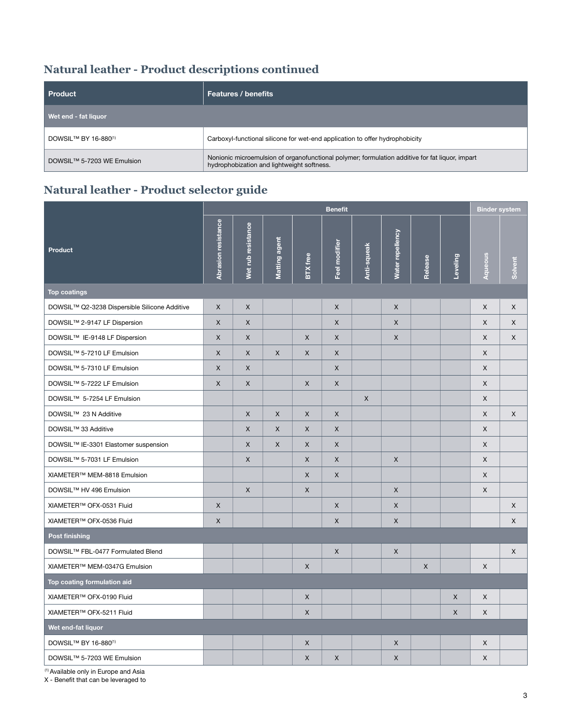## **Natural leather - Product descriptions continued**

| Product                                       | <b>Features / benefits</b>                                                                                                                    |
|-----------------------------------------------|-----------------------------------------------------------------------------------------------------------------------------------------------|
| Wet end - fat liquor                          |                                                                                                                                               |
| DOWSIL <sup>TM</sup> BY 16-880 <sup>(1)</sup> | Carboxyl-functional silicone for wet-end application to offer hydrophobicity                                                                  |
| DOWSIL™ 5-7203 WE Emulsion                    | Nonionic microemulsion of organofunctional polymer; formulation additive for fat liquor, impart<br>hydrophobization and lightweight softness. |

## **Natural leather - Product selector guide**

|                                               | <b>Benefit</b>      |                    |               |                 |                |             | <b>Binder system</b> |         |              |              |              |
|-----------------------------------------------|---------------------|--------------------|---------------|-----------------|----------------|-------------|----------------------|---------|--------------|--------------|--------------|
| <b>Product</b>                                | Abrasion resistance | Wet rub resistance | Matting agent | <b>BTX</b> free | Feel modifier  | Anti-squeak | Water repellency     | Release | Leveling     | Aqueous      | Solvent      |
| <b>Top coatings</b>                           |                     |                    |               |                 |                |             |                      |         |              |              |              |
| DOWSIL™ Q2-3238 Dispersible Silicone Additive | X                   | $\mathsf{X}$       |               |                 | X              |             | X                    |         |              | X            | X            |
| DOWSIL™ 2-9147 LF Dispersion                  | X                   | $\mathsf{X}$       |               |                 | X              |             | X                    |         |              | X            | X            |
| DOWSIL™ IE-9148 LF Dispersion                 | X                   | $\mathsf{X}$       |               | $\mathsf{X}$    | $\pmb{\times}$ |             | $\mathsf{X}$         |         |              | X            | X            |
| DOWSIL™ 5-7210 LF Emulsion                    | X                   | $\mathsf X$        | X             | X               | X              |             |                      |         |              | X            |              |
| DOWSIL™ 5-7310 LF Emulsion                    | X                   | X                  |               |                 | $\pmb{\times}$ |             |                      |         |              | X            |              |
| DOWSIL™ 5-7222 LF Emulsion                    | X                   | $\mathsf{X}$       |               | $\mathsf{X}$    | X              |             |                      |         |              | X            |              |
| DOWSIL™ 5-7254 LF Emulsion                    |                     |                    |               |                 |                | X           |                      |         |              | X            |              |
| DOWSIL™ 23 N Additive                         |                     | $\mathsf X$        | $\times$      | X               | $\mathsf X$    |             |                      |         |              | X            | X            |
| DOWSIL™ 33 Additive                           |                     | X                  | X             | X               | X              |             |                      |         |              | X            |              |
| DOWSIL™ IE-3301 Elastomer suspension          |                     | X                  | $\mathsf{X}$  | X               | X              |             |                      |         |              | X            |              |
| DOWSIL™ 5-7031 LF Emulsion                    |                     | $\mathsf{X}$       |               | X               | X              |             | X                    |         |              | X            |              |
| XIAMETER™ MEM-8818 Emulsion                   |                     |                    |               | X               | X              |             |                      |         |              | X            |              |
| DOWSIL™ HV 496 Emulsion                       |                     | $\mathsf{X}$       |               | X               |                |             | X                    |         |              | X            |              |
| XIAMETER™ OFX-0531 Fluid                      | X                   |                    |               |                 | $\pmb{\times}$ |             | $\pmb{\times}$       |         |              |              | X            |
| XIAMETER™ OFX-0536 Fluid                      | X                   |                    |               |                 | X              |             | X                    |         |              |              | $\mathsf{X}$ |
| Post finishing                                |                     |                    |               |                 |                |             |                      |         |              |              |              |
| DOWSIL™ FBL-0477 Formulated Blend             |                     |                    |               |                 | $\mathsf X$    |             | X                    |         |              |              | X            |
| XIAMETER™ MEM-0347G Emulsion                  |                     |                    |               | $\mathsf{X}$    |                |             |                      | X       |              | $\mathsf{x}$ |              |
| Top coating formulation aid                   |                     |                    |               |                 |                |             |                      |         |              |              |              |
| XIAMETER™ OFX-0190 Fluid                      |                     |                    |               | X               |                |             |                      |         | $\mathsf X$  | X            |              |
| XIAMETER™ OFX-5211 Fluid                      |                     |                    |               | X               |                |             |                      |         | $\mathsf{X}$ | X            |              |
| Wet end-fat liquor                            |                     |                    |               |                 |                |             |                      |         |              |              |              |
| DOWSIL™ BY 16-880 <sup>(1)</sup>              |                     |                    |               | $\mathsf{X}$    |                |             | $\mathsf{X}$         |         |              | X            |              |
| DOWSIL™ 5-7203 WE Emulsion                    |                     |                    |               | $\mathsf X$     | $\mathsf X$    |             | $\mathsf X$          |         |              | X            |              |

(1) Available only in Europe and Asia

X - Benefit that can be leveraged to